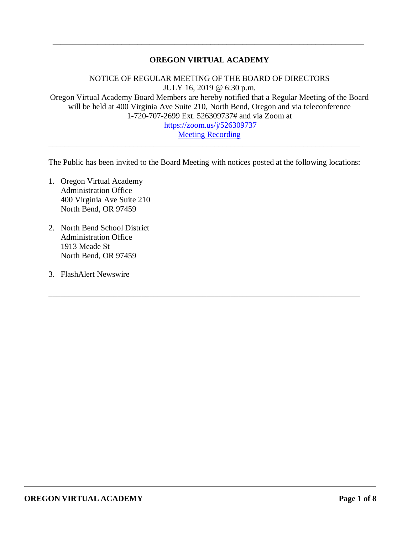## **OREGON VIRTUAL ACADEMY**

\_\_\_\_\_\_\_\_\_\_\_\_\_\_\_\_\_\_\_\_\_\_\_\_\_\_\_\_\_\_\_\_\_\_\_\_\_\_\_\_\_\_\_\_\_\_\_\_\_\_\_\_\_\_\_\_\_\_\_\_\_\_\_\_\_\_\_\_\_\_\_\_\_\_\_\_\_

NOTICE OF REGULAR MEETING OF THE BOARD OF DIRECTORS JULY 16, 2019 @ 6:30 p.m. Oregon Virtual Academy Board Members are hereby notified that a Regular Meeting of the Board will be held at 400 Virginia Ave Suite 210, North Bend, Oregon and via teleconference 1-720-707-2699 Ext. 526309737# and via Zoom at <https://zoom.us/j/526309737> [Meeting Recording](https://k12inc-my.sharepoint.com/:v:/g/personal/mecaldwell_oregonva_org/ETH0hrO0IoBIq41cPU7G3mEBD6PJdP6mljJ-MQdYEZV9DQ?e=3Q0i82)

The Public has been invited to the Board Meeting with notices posted at the following locations:

\_\_\_\_\_\_\_\_\_\_\_\_\_\_\_\_\_\_\_\_\_\_\_\_\_\_\_\_\_\_\_\_\_\_\_\_\_\_\_\_\_\_\_\_\_\_\_\_\_\_\_\_\_\_\_\_\_\_\_\_\_\_\_\_\_\_\_\_\_\_\_\_\_\_\_\_\_

\_\_\_\_\_\_\_\_\_\_\_\_\_\_\_\_\_\_\_\_\_\_\_\_\_\_\_\_\_\_\_\_\_\_\_\_\_\_\_\_\_\_\_\_\_\_\_\_\_\_\_\_\_\_\_\_\_\_\_\_\_\_\_\_\_\_\_\_\_\_\_\_\_\_\_\_\_

- 1. Oregon Virtual Academy Administration Office 400 Virginia Ave Suite 210 North Bend, OR 97459
- 2. North Bend School District Administration Office 1913 Meade St North Bend, OR 97459
- 3. FlashAlert Newswire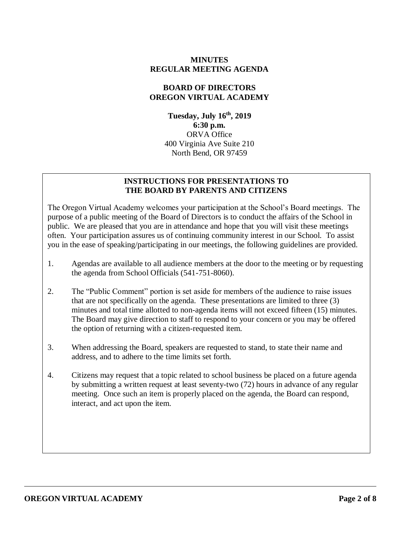#### **MINUTES REGULAR MEETING AGENDA**

#### **BOARD OF DIRECTORS OREGON VIRTUAL ACADEMY**

**Tuesday, July 16 th , 2019 6:30 p.m.** ORVA Office 400 Virginia Ave Suite 210 North Bend, OR 97459

#### **INSTRUCTIONS FOR PRESENTATIONS TO THE BOARD BY PARENTS AND CITIZENS**

The Oregon Virtual Academy welcomes your participation at the School's Board meetings. The purpose of a public meeting of the Board of Directors is to conduct the affairs of the School in public. We are pleased that you are in attendance and hope that you will visit these meetings often. Your participation assures us of continuing community interest in our School. To assist you in the ease of speaking/participating in our meetings, the following guidelines are provided.

- 1. Agendas are available to all audience members at the door to the meeting or by requesting the agenda from School Officials (541-751-8060).
- 2. The "Public Comment" portion is set aside for members of the audience to raise issues that are not specifically on the agenda. These presentations are limited to three (3) minutes and total time allotted to non-agenda items will not exceed fifteen (15) minutes. The Board may give direction to staff to respond to your concern or you may be offered the option of returning with a citizen-requested item.
- 3. When addressing the Board, speakers are requested to stand, to state their name and address, and to adhere to the time limits set forth.
- 4. Citizens may request that a topic related to school business be placed on a future agenda by submitting a written request at least seventy-two (72) hours in advance of any regular meeting. Once such an item is properly placed on the agenda, the Board can respond, interact, and act upon the item.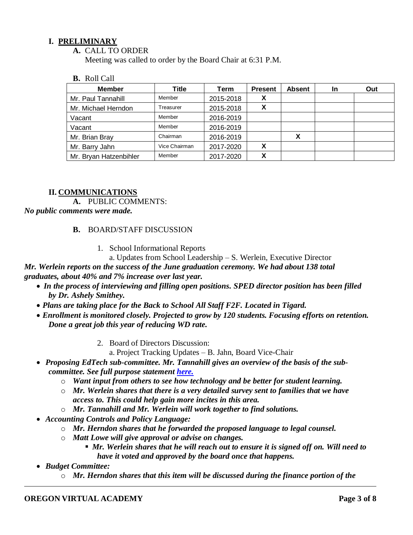### **I. PRELIMINARY**

#### **A.** CALL TO ORDER

Meeting was called to order by the Board Chair at 6:31 P.M.

#### **B.** Roll Call

| <b>Member</b>          | Title         | Term      | <b>Present</b> | <b>Absent</b> | In | Out |
|------------------------|---------------|-----------|----------------|---------------|----|-----|
| Mr. Paul Tannahill     | Member        | 2015-2018 | v<br>$\lambda$ |               |    |     |
| Mr. Michael Herndon    | Treasurer     | 2015-2018 | X              |               |    |     |
| Vacant                 | Member        | 2016-2019 |                |               |    |     |
| Vacant                 | Member        | 2016-2019 |                |               |    |     |
| Mr. Brian Bray         | Chairman      | 2016-2019 |                | х             |    |     |
| Mr. Barry Jahn         | Vice Chairman | 2017-2020 | X              |               |    |     |
| Mr. Bryan Hatzenbihler | Member        | 2017-2020 | v              |               |    |     |

### **II. COMMUNICATIONS**

**A.** PUBLIC COMMENTS:

*No public comments were made.*

### **B.** BOARD/STAFF DISCUSSION

- 1. School Informational Reports
	- a. Updates from School Leadership S. Werlein, Executive Director

*Mr. Werlein reports on the success of the June graduation ceremony. We had about 138 total graduates, about 40% and 7% increase over last year.*

- *In the process of interviewing and filling open positions. SPED director position has been filled by Dr. Ashely Smithey.*
- *Plans are taking place for the Back to School All Staff F2F. Located in Tigard.*
- *Enrollment is monitored closely. Projected to grow by 120 students. Focusing efforts on retention. Done a great job this year of reducing WD rate.* 
	- 2. Board of Directors Discussion:
		- a. Project Tracking Updates B. Jahn, Board Vice-Chair
- Proposing EdTech sub-committee. Mr. Tannahill gives an overview of the basis of the sub*committee. See full purpose statement [here.](https://k12inc-my.sharepoint.com/:b:/g/personal/mecaldwell_oregonva_org/Edjlmjoj3ZBCr-biWQxzpE8BGlD1pceophjF2nfumkjzwQ?e=FV7qj9)*
	- o *Want input from others to see how technology and be better for student learning.*
	- o *Mr. Werlein shares that there is a very detailed survey sent to families that we have access to. This could help gain more incites in this area.*
	- o *Mr. Tannahill and Mr. Werlein will work together to find solutions.*
- *Accounting Controls and Policy Language:*
	- o *Mr. Herndon shares that he forwarded the proposed language to legal counsel.*
	- o *Matt Lowe will give approval or advise on changes.* 
		- *Mr. Werlein shares that he will reach out to ensure it is signed off on. Will need to have it voted and approved by the board once that happens.*
- *Budget Committee:*
	- o *Mr. Herndon shares that this item will be discussed during the finance portion of the*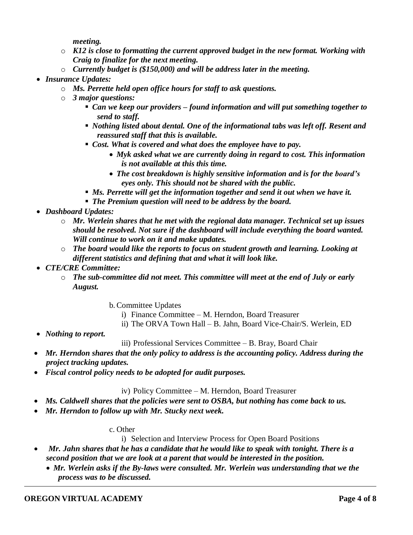*meeting.*

- o *K12 is close to formatting the current approved budget in the new format. Working with Craig to finalize for the next meeting.*
- o *Currently budget is (\$150,000) and will be address later in the meeting.*
- *Insurance Updates:*
	- o *Ms. Perrette held open office hours for staff to ask questions.*
	- o *3 major questions:*
		- *Can we keep our providers – found information and will put something together to send to staff.*
		- *Nothing listed about dental. One of the informational tabs was left off. Resent and reassured staff that this is available.*
		- *Cost. What is covered and what does the employee have to pay.* 
			- *Myk asked what we are currently doing in regard to cost. This information is not available at this this time.*
			- *The cost breakdown is highly sensitive information and is for the board's eyes only. This should not be shared with the public.*
		- **Ms. Perrette will get the information together and send it out when we have it.**
		- *The Premium question will need to be address by the board.*
- *Dashboard Updates:*
	- o *Mr. Werlein shares that he met with the regional data manager. Technical set up issues should be resolved. Not sure if the dashboard will include everything the board wanted. Will continue to work on it and make updates.*
	- o *The board would like the reports to focus on student growth and learning. Looking at different statistics and defining that and what it will look like.*
- *CTE/CRE Committee:*
	- o *The sub-committee did not meet. This committee will meet at the end of July or early August.* 
		- b. Committee Updates
			- i) Finance Committee M. Herndon, Board Treasurer
			- ii) The ORVA Town Hall B. Jahn, Board Vice-Chair/S. Werlein, ED
- *Nothing to report.*

## iii) Professional Services Committee – B. Bray, Board Chair

- *Mr. Herndon shares that the only policy to address is the accounting policy. Address during the project tracking updates.*
- *Fiscal control policy needs to be adopted for audit purposes.*

iv) Policy Committee – M. Herndon, Board Treasurer

- *Ms. Caldwell shares that the policies were sent to OSBA, but nothing has come back to us.*
- *Mr. Herndon to follow up with Mr. Stucky next week.*

#### c. Other

i) Selection and Interview Process for Open Board Positions

- *Mr. Jahn shares that he has a candidate that he would like to speak with tonight. There is a second position that we are look at a parent that would be interested in the position.* 
	- *Mr. Werlein asks if the By-laws were consulted. Mr. Werlein was understanding that we the process was to be discussed.*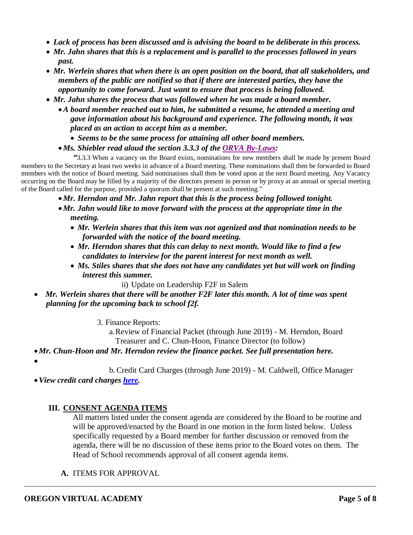- *Lack of process has been discussed and is advising the board to be deliberate in this process.*
- *Mr. Jahn shares that this is a replacement and is parallel to the processes followed in years past.*
- *Mr. Werlein shares that when there is an open position on the board, that all stakeholders, and members of the public are notified so that if there are interested parties, they have the opportunity to come forward. Just want to ensure that process is being followed.*
- *Mr. Jahn shares the process that was followed when he was made a board member.* 
	- •*A board member reached out to him, he submitted a resume, he attended a meeting and gave information about his background and experience. The following month, it was placed as an action to accept him as a member.* 
		- *Seems to be the same process for attaining all other board members.*
	- •*Ms. Shiebler read aloud the section 3.3.3 of the ORVA [By-Laws:](https://k12inc-my.sharepoint.com/:b:/g/personal/mecaldwell_oregonva_org/EbL-AOQj0PZCgIxk_Erp7IkBZ08UARTzyTbpmgZNs7Je8g?e=y8fz5M)*

*"*3.3.3 When a vacancy on the Board exists, nominations for new members shall be made by present Board members to the Secretary at least two weeks in advance of a Board meeting. These nominations shall then be forwarded to Board members with the notice of Board meeting. Said nominations shall then be voted upon at the next Board meeting. Any Vacancy occurring on the Board may be filled by a majority of the directors present in person or by proxy at an annual or special meeting of the Board called for the purpose, provided a quorum shall be present at such meeting."

- •*Mr. Herndon and Mr. Jahn report that this is the process being followed tonight.*
- •*Mr. Jahn would like to move forward with the process at the appropriate time in the meeting.* 
	- *Mr. Werlein shares that this item was not agenized and that nomination needs to be forwarded with the notice of the board meeting.*
	- *Mr. Herndon shares that this can delay to next month. Would like to find a few candidates to interview for the parent interest for next month as well.*
	- *Ms. Stiles shares that she does not have any candidates yet but will work on finding interest this summer.*
		- ii) Update on Leadership F2F in Salem
- *Mr. Werlein shares that there will be another F2F later this month. A lot of time was spent planning for the upcoming back to school f2f.*
	- 3. Finance Reports:

a.Review of Financial Packet (through June 2019) - M. Herndon, Board Treasurer and C. Chun-Hoon, Finance Director (to follow)

- •*Mr. Chun-Hoon and Mr. Herndon review the finance packet. See full presentation here.*
- •

b. Credit Card Charges (through June 2019) - M. Caldwell, Office Manager

•*View credit card charges [here.](https://k12inc-my.sharepoint.com/:b:/g/personal/mecaldwell_oregonva_org/EbTK2vwDzENGvHEg0MjHf0sBYowvHOK7eBtB7TzTfTfkLg?e=hmdZEs)*

## **III. CONSENT AGENDA ITEMS**

All matters listed under the consent agenda are considered by the Board to be routine and will be approved/enacted by the Board in one motion in the form listed below. Unless specifically requested by a Board member for further discussion or removed from the agenda, there will be no discussion of these items prior to the Board votes on them. The Head of School recommends approval of all consent agenda items.

**A.** ITEMS FOR APPROVAL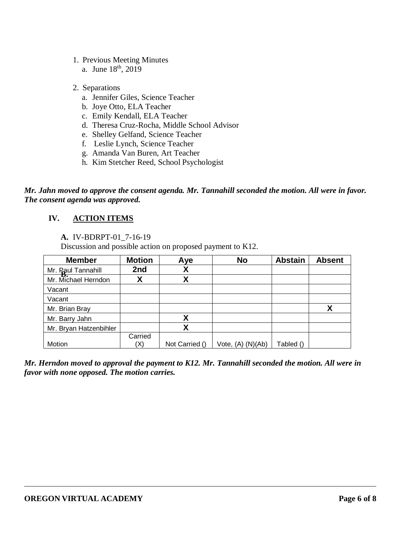- 1. Previous Meeting Minutes
	- a. June 18<sup>th</sup>, 2019
- 2. Separations
	- a. Jennifer Giles, Science Teacher
	- b. Joye Otto, ELA Teacher
	- c. Emily Kendall, ELA Teacher
	- d. Theresa Cruz-Rocha, Middle School Advisor
	- e. Shelley Gelfand, Science Teacher
	- f. Leslie Lynch, Science Teacher
	- g. Amanda Van Buren, Art Teacher
	- h. Kim Stetcher Reed, School Psychologist

*Mr. Jahn moved to approve the consent agenda. Mr. Tannahill seconded the motion. All were in favor. The consent agenda was approved.*

# **IV. ACTION ITEMS**

## **A.** IV-BDRPT-01\_7-16-19

Discussion and possible action on proposed payment to K12.

| <b>Member</b>          | <b>Motion</b> | Aye            | <b>No</b>         | <b>Abstain</b> | <b>Absent</b> |
|------------------------|---------------|----------------|-------------------|----------------|---------------|
| Mr. Paul Tannahill     | 2nd           | χ              |                   |                |               |
| Mr. Michael Herndon    |               | Χ              |                   |                |               |
| Vacant                 |               |                |                   |                |               |
| Vacant                 |               |                |                   |                |               |
| Mr. Brian Bray         |               |                |                   |                | Χ             |
| Mr. Barry Jahn         |               | Χ              |                   |                |               |
| Mr. Bryan Hatzenbihler |               | Χ              |                   |                |               |
|                        | Carried       |                |                   |                |               |
| Motion                 | X)            | Not Carried () | Vote, (A) (N)(Ab) | Tabled ()      |               |

*Mr. Herndon moved to approval the payment to K12. Mr. Tannahill seconded the motion. All were in favor with none opposed. The motion carries.*